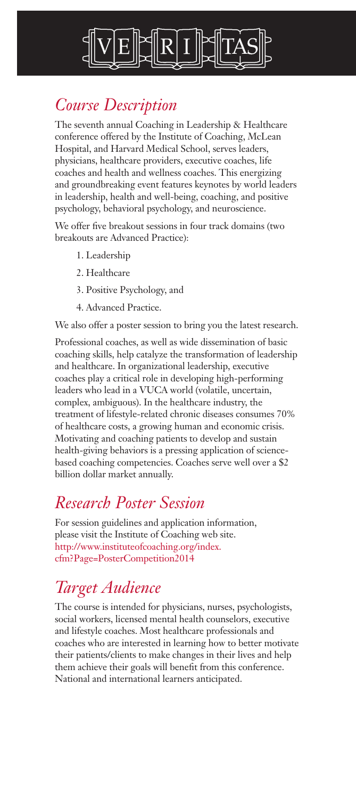

# *Course Description*

The seventh annual Coaching in Leadership & Healthcare conference offered by the Institute of Coaching, McLean Hospital, and Harvard Medical School, serves leaders, physicians, healthcare providers, executive coaches, life coaches and health and wellness coaches. This energizing and groundbreaking event features keynotes by world leaders in leadership, health and well-being, coaching, and positive psychology, behavioral psychology, and neuroscience.

We offer five breakout sessions in four track domains (two breakouts are Advanced Practice):

- 1. Leadership
- 2. Healthcare
- 3. Positive Psychology, and
- 4. Advanced Practice.

We also offer a poster session to bring you the latest research.

Professional coaches, as well as wide dissemination of basic coaching skills, help catalyze the transformation of leadership and healthcare. In organizational leadership, executive coaches play a critical role in developing high-performing leaders who lead in a VUCA world (volatile, uncertain, complex, ambiguous). In the healthcare industry, the treatment of lifestyle-related chronic diseases consumes 70% of healthcare costs, a growing human and economic crisis. Motivating and coaching patients to develop and sustain health-giving behaviors is a pressing application of sciencebased coaching competencies. Coaches serve well over a \$2 billion dollar market annually.

# *Research Poster Session*

For session guidelines and application information, please visit the Institute of Coaching web site. http://www.instituteofcoaching.org/index. cfm?Page=PosterCompetition2014

# *Target Audience*

The course is intended for physicians, nurses, psychologists, social workers, licensed mental health counselors, executive and lifestyle coaches. Most healthcare professionals and coaches who are interested in learning how to better motivate their patients/clients to make changes in their lives and help them achieve their goals will benefit from this conference. National and international learners anticipated.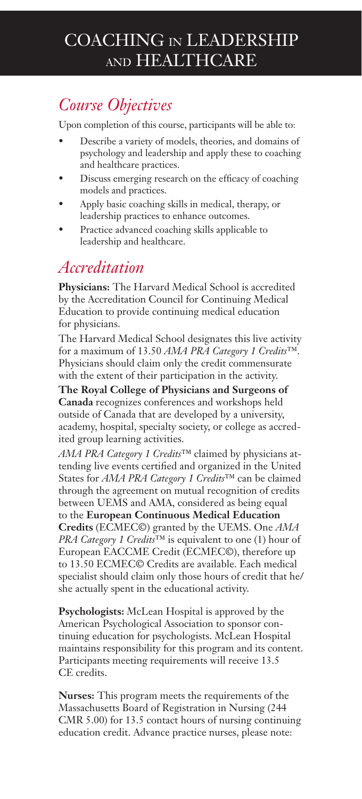# COACHING IN LEADERSHIP AND HEALTHCARE

# *Course Objectives*

Upon completion of this course, participants will be able to:

- Describe a variety of models, theories, and domains of psychology and leadership and apply these to coaching and healthcare practices.
- Discuss emerging research on the efficacy of coaching models and practices.
- Apply basic coaching skills in medical, therapy, or leadership practices to enhance outcomes.
- Practice advanced coaching skills applicable to leadership and healthcare.

# *Accreditation*

**Physicians:** The Harvard Medical School is accredited by the Accreditation Council for Continuing Medical Education to provide continuing medical education for physicians.

The Harvard Medical School designates this live activity for a maximum of 13.50 *AMA PRA Category 1 Credits*™. Physicians should claim only the credit commensurate with the extent of their participation in the activity.

**The Royal College of Physicians and Surgeons of Canada** recognizes conferences and workshops held outside of Canada that are developed by a university, academy, hospital, specialty society, or college as accredited group learning activities.

*AMA PRA Category 1 Credits*™ claimed by physicians attending live events certified and organized in the United States for *AMA PRA Category 1 Credits*™ can be claimed through the agreement on mutual recognition of credits between UEMS and AMA, considered as being equal to the **European Continuous Medical Education Credits** (ECMEC©) granted by the UEMS. One *AMA PRA Category 1 Credits*™ is equivalent to one (1) hour of European EACCME Credit (ECMEC©), therefore up to 13.50 ECMEC© Credits are available. Each medical specialist should claim only those hours of credit that he/ she actually spent in the educational activity.

**Psychologists:** McLean Hospital is approved by the American Psychological Association to sponsor continuing education for psychologists. McLean Hospital maintains responsibility for this program and its content. Participants meeting requirements will receive 13.5 CE credits.

**Nurses:** This program meets the requirements of the Massachusetts Board of Registration in Nursing (244 CMR 5.00) for 13.5 contact hours of nursing continuing education credit. Advance practice nurses, please note: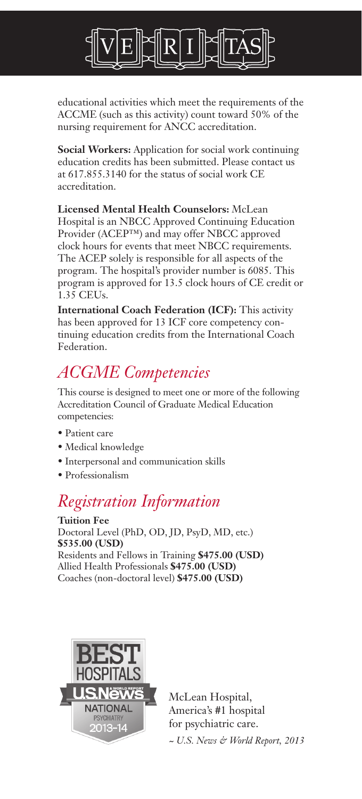

educational activities which meet the requirements of the ACCME (such as this activity) count toward 50% of the nursing requirement for ANCC accreditation.

**Social Workers:** Application for social work continuing education credits has been submitted. Please contact us at 617.855.3140 for the status of social work CE accreditation.

**Licensed Mental Health Counselors:** McLean Hospital is an NBCC Approved Continuing Education Provider (ACEP™) and may offer NBCC approved clock hours for events that meet NBCC requirements. The ACEP solely is responsible for all aspects of the program. The hospital's provider number is 6085. This program is approved for 13.5 clock hours of CE credit or 1.35 CEUs.

**International Coach Federation (ICF):** This activity has been approved for 13 ICF core competency continuing education credits from the International Coach Federation.

# *ACGME Competencies*

This course is designed to meet one or more of the following Accreditation Council of Graduate Medical Education competencies:

- Patient care
- Medical knowledge
- Interpersonal and communication skills
- Professionalism

# *Registration Information*

**Tuition Fee** Doctoral Level (PhD, OD, JD, PsyD, MD, etc.) **\$535.00 (USD)** Residents and Fellows in Training **\$475.00 (USD)** Allied Health Professionals **\$475.00 (USD)** Coaches (non-doctoral level) **\$475.00 (USD)**



McLean Hospital, America's #1 hospital for psychiatric care.

*~ U.S. News & World Report, 2013*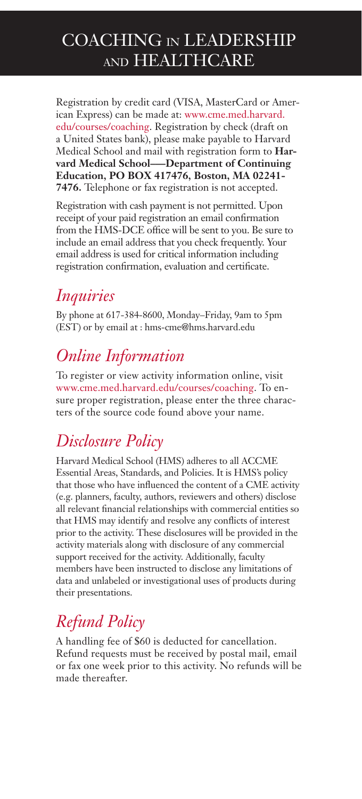# COACHING IN LEADERSHIP AND HEALTHCARE

Registration by credit card (VISA, MasterCard or American Express) can be made at: www.cme.med.harvard. edu/courses/coaching. Registration by check (draft on a United States bank), please make payable to Harvard Medical School and mail with registration form to **Harvard Medical School–—Department of Continuing Education, PO BOX 417476, Boston, MA 02241- 7476.** Telephone or fax registration is not accepted.

Registration with cash payment is not permitted. Upon receipt of your paid registration an email confirmation from the HMS-DCE office will be sent to you. Be sure to include an email address that you check frequently. Your email address is used for critical information including registration confirmation, evaluation and certificate.

# *Inquiries*

By phone at 617-384-8600, Monday–Friday, 9am to 5pm (EST) or by email at : hms-cme@hms.harvard.edu

# *Online Information*

To register or view activity information online, visit www.cme.med.harvard.edu/courses/coaching. To ensure proper registration, please enter the three characters of the source code found above your name.

# *Disclosure Policy*

Harvard Medical School (HMS) adheres to all ACCME Essential Areas, Standards, and Policies. It is HMS's policy that those who have influenced the content of a CME activity (e.g. planners, faculty, authors, reviewers and others) disclose all relevant financial relationships with commercial entities so that HMS may identify and resolve any conflicts of interest prior to the activity. These disclosures will be provided in the activity materials along with disclosure of any commercial support received for the activity. Additionally, faculty members have been instructed to disclose any limitations of data and unlabeled or investigational uses of products during their presentations.

# *Refund Policy*

A handling fee of \$60 is deducted for cancellation. Refund requests must be received by postal mail, email or fax one week prior to this activity. No refunds will be made thereafter.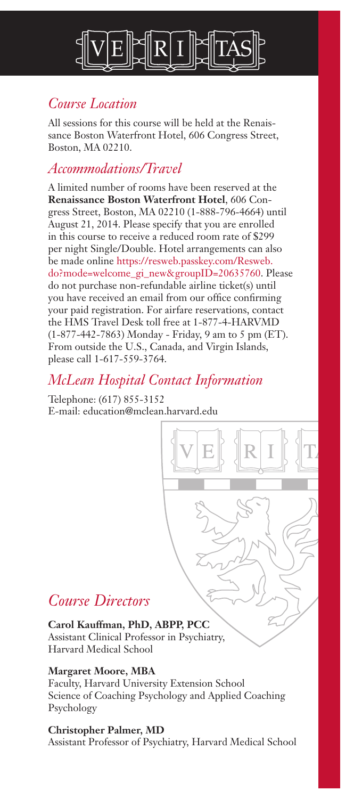

## *Course Location*

All sessions for this course will be held at the Renaissance Boston Waterfront Hotel, 606 Congress Street, Boston, MA 02210.

### *Accommodations/Travel*

A limited number of rooms have been reserved at the **Renaissance Boston Waterfront Hotel**, 606 Congress Street, Boston, MA 02210 (1-888-796-4664) until August 21, 2014. Please specify that you are enrolled in this course to receive a reduced room rate of \$299 per night Single/Double. Hotel arrangements can also be made online https://resweb.passkey.com/Resweb. do?mode=welcome\_gi\_new&groupID=20635760. Please do not purchase non-refundable airline ticket(s) until you have received an email from our office confirming your paid registration. For airfare reservations, contact the HMS Travel Desk toll free at 1-877-4-HARVMD (1-877-442-7863) Monday - Friday, 9 am to 5 pm (ET). From outside the U.S., Canada, and Virgin Islands, please call 1-617-559-3764.

## *McLean Hospital Contact Information*

Telephone: (617) 855-3152 E-mail: education@mclean.harvard.edu

# *Course Directors*

#### **Carol Kauffman, PhD, ABPP, PCC**

Assistant Clinical Professor in Psychiatry, Harvard Medical School

#### **Margaret Moore, MBA**

Faculty, Harvard University Extension School Science of Coaching Psychology and Applied Coaching Psychology

#### **Christopher Palmer, MD**

Assistant Professor of Psychiatry, Harvard Medical School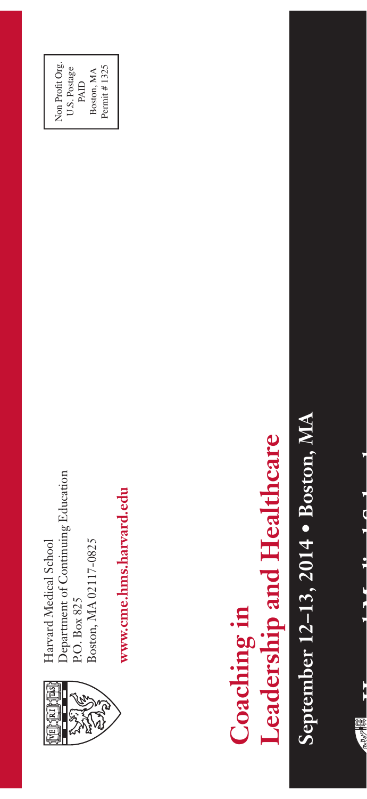

Department of Continuing Education Department of Continuing Education Boston, MA 02117-0825 Harvard Medical School Boston, MA 02117-0825 Harvard Medical School P.O. Box 825 P.O. Box 825

Non Profit Org. U.S. Postage PAID Boston, MA Permit # 1325

Permit #1325 Boston, MA

Non Profit Org. U.S. Postage

> www.cme.hms.harvard.edu **www.cme.hms.harvard.edu**

# Leadership and Healthcare **Leadership and Healthcare** Coaching in **Coaching in**

September 12-13, 2014 . Boston, MA **September 12–13, 2014 • Boston, MA**



**Harvard Medical School** 化乙基二氯 医牙的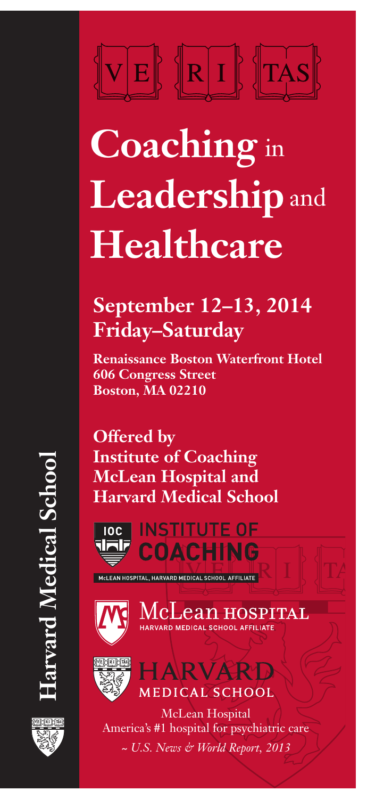# $\|{\mathbf{R}}\|$  i  $\|$   $\|$  the  $\|$  $\mathbf{E}$

# **Coaching**  in **Leadership**  and **Healthcare**

# **September 12–13, 2014 Friday–Saturday**

**Renaissance Boston Waterfront Hotel 606 Congress Street Boston, MA 02210**

**Offered by Institute of Coaching McLean Hospital and Harvard Medical School**



MCLEAN HOSPITAL, HARVARD MEDICAL SCHOOL AFFILIATE



McLean hospital HARVARD MEDICAL SCHOOL AFFILIATE



**HARVARD** MEDICAL SCHOOL

McLean Hospital America's #1 hospital for psychiatric care *~ U.S. News & World Report, 2013*

**Harvard Medical School Larvard Medical Schoc** 

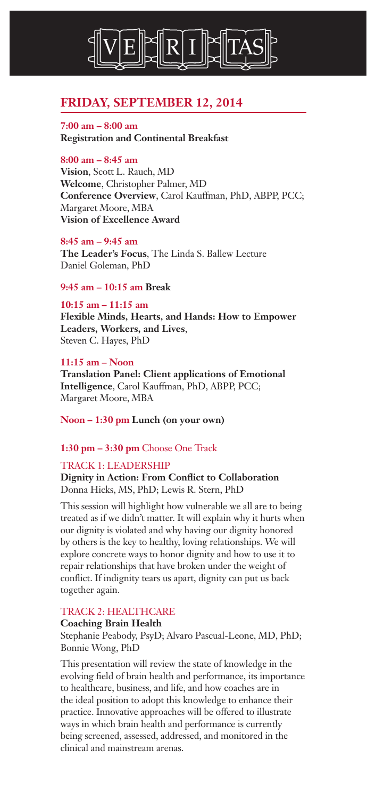

#### **FRIDAY, SEPTEMBER 12, 2014**

**7:00 am – 8:00 am Registration and Continental Breakfast**

#### **8:00 am – 8:45 am**

**Vision**, Scott L. Rauch, MD **Welcome**, Christopher Palmer, MD **Conference Overview**, Carol Kauffman, PhD, ABPP, PCC; Margaret Moore, MBA **Vision of Excellence Award**

**8:45 am – 9:45 am**

**The Leader's Focus**, The Linda S. Ballew Lecture Daniel Goleman, PhD

#### **9:45 am – 10:15 am Break**

#### **10:15 am – 11:15 am**

**Flexible Minds, Hearts, and Hands: How to Empower Leaders, Workers, and Lives**, Steven C. Hayes, PhD

#### **11:15 am – Noon**

**Translation Panel: Client applications of Emotional Intelligence**, Carol Kauffman, PhD, ABPP, PCC; Margaret Moore, MBA

**Noon – 1:30 pm Lunch (on your own)**

#### **1:30 pm – 3:30 pm** Choose One Track

#### TRACK 1: LEADERSHIP

#### **Dignity in Action: From Conflict to Collaboration** Donna Hicks, MS, PhD; Lewis R. Stern, PhD

This session will highlight how vulnerable we all are to being treated as if we didn't matter. It will explain why it hurts when our dignity is violated and why having our dignity honored by others is the key to healthy, loving relationships. We will explore concrete ways to honor dignity and how to use it to repair relationships that have broken under the weight of conflict. If indignity tears us apart, dignity can put us back together again.

#### TRACK 2: HEALTHCARE

#### **Coaching Brain Health** Stephanie Peabody, PsyD; Alvaro Pascual-Leone, MD, PhD; Bonnie Wong, PhD

This presentation will review the state of knowledge in the evolving field of brain health and performance, its importance to healthcare, business, and life, and how coaches are in the ideal position to adopt this knowledge to enhance their practice. Innovative approaches will be offered to illustrate ways in which brain health and performance is currently being screened, assessed, addressed, and monitored in the clinical and mainstream arenas.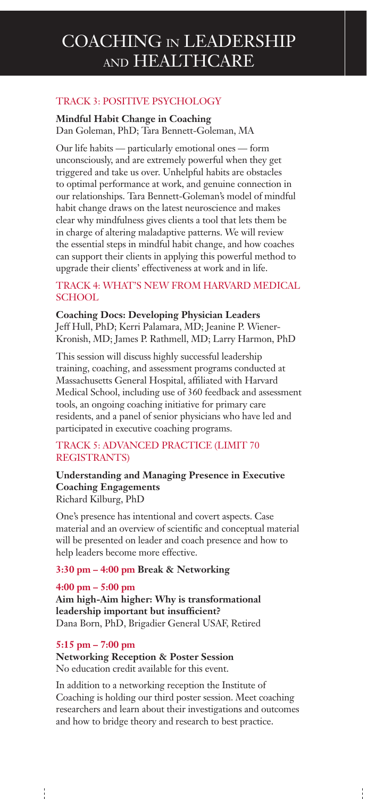#### TRACK 3: POSITIVE PSYCHOLOGY

**Mindful Habit Change in Coaching**

Dan Goleman, PhD; Tara Bennett-Goleman, MA

Our life habits — particularly emotional ones — form unconsciously, and are extremely powerful when they get triggered and take us over. Unhelpful habits are obstacles to optimal performance at work, and genuine connection in our relationships. Tara Bennett-Goleman's model of mindful habit change draws on the latest neuroscience and makes clear why mindfulness gives clients a tool that lets them be in charge of altering maladaptive patterns. We will review the essential steps in mindful habit change, and how coaches can support their clients in applying this powerful method to upgrade their clients' effectiveness at work and in life.

#### TRACK 4: WHAT'S NEW FROM HARVARD MEDICAL SCHOOL

**Coaching Docs: Developing Physician Leaders** Jeff Hull, PhD; Kerri Palamara, MD; Jeanine P. Wiener-Kronish, MD; James P. Rathmell, MD; Larry Harmon, PhD

This session will discuss highly successful leadership training, coaching, and assessment programs conducted at Massachusetts General Hospital, affiliated with Harvard Medical School, including use of 360 feedback and assessment tools, an ongoing coaching initiative for primary care residents, and a panel of senior physicians who have led and participated in executive coaching programs.

#### TRACK 5: ADVANCED PRACTICE (LIMIT 70 REGISTRANTS)

#### **Understanding and Managing Presence in Executive Coaching Engagements** Richard Kilburg, PhD

One's presence has intentional and covert aspects. Case material and an overview of scientific and conceptual material will be presented on leader and coach presence and how to help leaders become more effective.

#### **3:30 pm – 4:00 pm Break & Networking**

#### **4:00 pm – 5:00 pm Aim high-Aim higher: Why is transformational leadership important but insufficient?** Dana Born, PhD, Brigadier General USAF, Retired

#### **5:15 pm – 7:00 pm**

I

**Networking Reception & Poster Session** No education credit available for this event.

In addition to a networking reception the Institute of Coaching is holding our third poster session. Meet coaching researchers and learn about their investigations and outcomes and how to bridge theory and research to best practice.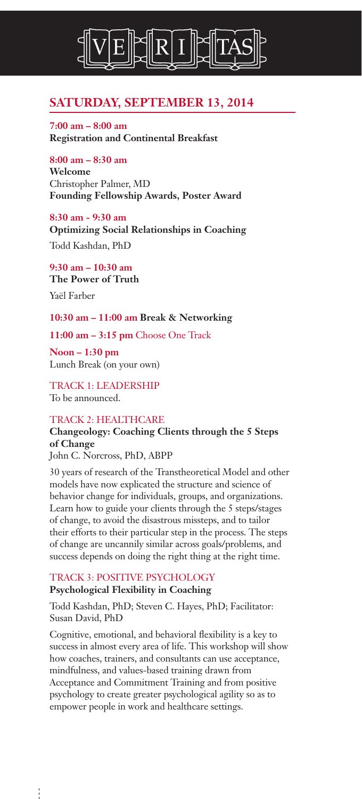

#### **SATURDAY, SEPTEMBER 13, 2014**

**7:00 am – 8:00 am Registration and Continental Breakfast**

#### **8:00 am – 8:30 am**

**Welcome** Christopher Palmer, MD **Founding Fellowship Awards, Poster Award**

**8:30 am - 9:30 am Optimizing Social Relationships in Coaching**

Todd Kashdan, PhD

**9:30 am – 10:30 am The Power of Truth** Yaël Farber

#### **10:30 am – 11:00 am Break & Networking**

**11:00 am – 3:15 pm** Choose One Track

**Noon – 1:30 pm** Lunch Break (on your own)

TRACK 1: LEADERSHIP To be announced.

#### TRACK 2: HEALTHCARE

#### **Changeology: Coaching Clients through the 5 Steps of Change**

John C. Norcross, PhD, ABPP

30 years of research of the Transtheoretical Model and other models have now explicated the structure and science of behavior change for individuals, groups, and organizations. Learn how to guide your clients through the 5 steps/stages of change, to avoid the disastrous missteps, and to tailor their efforts to their particular step in the process. The steps of change are uncannily similar across goals/problems, and success depends on doing the right thing at the right time.

#### TRACK 3: POSITIVE PSYCHOLOGY **Psychological Flexibility in Coaching**

I

Todd Kashdan, PhD; Steven C. Hayes, PhD; Facilitator: Susan David, PhD

Cognitive, emotional, and behavioral flexibility is a key to success in almost every area of life. This workshop will show how coaches, trainers, and consultants can use acceptance, mindfulness, and values-based training drawn from Acceptance and Commitment Training and from positive psychology to create greater psychological agility so as to empower people in work and healthcare settings.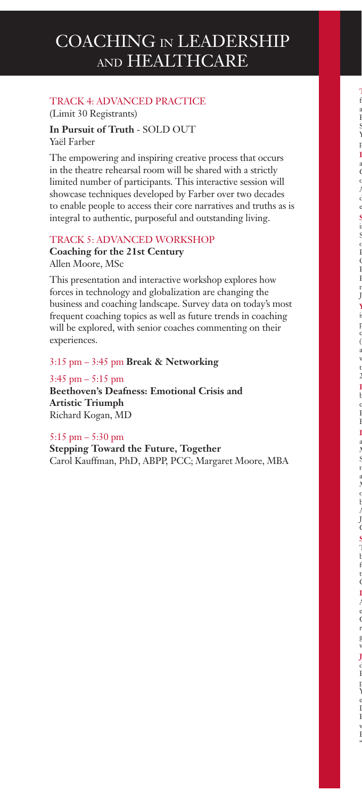#### TRACK 4: ADVANCED PRACTICE (Limit 30 Registrants)

**In Pursuit of Truth** - SOLD OUT Yaël Farber

The empowering and inspiring creative process that occurs in the theatre rehearsal room will be shared with a strictly limited number of participants. This interactive session will showcase techniques developed by Farber over two decades to enable people to access their core narratives and truths as is integral to authentic, purposeful and outstanding living.

#### TRACK 5: ADVANCED WORKSHOP

**Coaching for the 21st Century** Allen Moore, MSc

This presentation and interactive workshop explores how forces in technology and globalization are changing the business and coaching landscape. Survey data on today's most frequent coaching topics as well as future trends in coaching will be explored, with senior coaches commenting on their experiences.

3:15 pm – 3:45 pm **Break & Networking**

3:45 pm – 5:15 pm

**Beethoven's Deafness: Emotional Crisis and Artistic Triumph** Richard Kogan, MD

5:15 pm – 5:30 pm

**Stepping Toward the Future, Together** Carol Kauffman, PhD, ABPP, PCC; Margaret Moore, MBA

 $\alpha$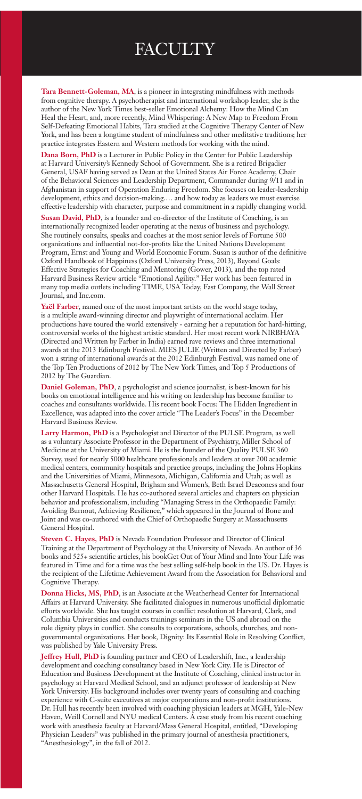# **FACULTY**

**Tara Bennett-Goleman, MA**, is a pioneer in integrating mindfulness with methods from cognitive therapy. A psychotherapist and international workshop leader, she is the author of the New York Times best-seller Emotional Alchemy: How the Mind Can Heal the Heart, and, more recently, Mind Whispering: A New Map to Freedom From Self-Defeating Emotional Habits, Tara studied at the Cognitive Therapy Center of New York, and has been a longtime student of mindfulness and other meditative traditions; her practice integrates Eastern and Western methods for working with the mind.

**Dana Born, PhD** is a Lecturer in Public Policy in the Center for Public Leadership at Harvard University's Kennedy School of Government. She is a retired Brigadier General, USAF having served as Dean at the United States Air Force Academy, Chair of the Behavioral Sciences and Leadership Department, Commander during 9/11 and in Afghanistan in support of Operation Enduring Freedom. She focuses on leader-leadership development, ethics and decision-making.… and how today as leaders we must exercise effective leadership with character, purpose and commitment in a rapidly changing world.

**Susan David, PhD**, is a founder and co-director of the Institute of Coaching, is an internationally recognized leader operating at the nexus of business and psychology. She routinely consults, speaks and coaches at the most senior levels of Fortune 500 organizations and influential not-for-profits like the United Nations Development Program, Ernst and Young and World Economic Forum. Susan is author of the definitive Oxford Handbook of Happiness (Oxford University Press, 2013), Beyond Goals: Effective Strategies for Coaching and Mentoring (Gower, 2013), and the top rated Harvard Business Review article "Emotional Agility." Her work has been featured in many top media outlets including TIME, USA Today, Fast Company, the Wall Street Journal, and Inc.com.

**Yaël Farber**, named one of the most important artists on the world stage today, is a multiple award-winning director and playwright of international acclaim. Her productions have toured the world extensively - earning her a reputation for hard-hitting, controversial works of the highest artistic standard. Her most recent work NIRBHAYA (Directed and Written by Farber in India) earned rave reviews and three international awards at the 2013 Edinburgh Festival. MIES JULIE (Written and Directed by Farber) won a string of international awards at the 2012 Edinburgh Festival, was named one of the Top Ten Productions of 2012 by The New York Times, and Top 5 Productions of 2012 by The Guardian.

**Daniel Goleman, PhD**, a psychologist and science journalist, is best-known for his books on emotional intelligence and his writing on leadership has become familiar to coaches and consultants worldwide. His recent book Focus: The Hidden Ingredient in Excellence, was adapted into the cover article "The Leader's Focus" in the December Harvard Business Review.

**Larry Harmon, PhD** is a Psychologist and Director of the PULSE Program, as well as a voluntary Associate Professor in the Department of Psychiatry, Miller School of Medicine at the University of Miami. He is the founder of the Quality PULSE 360 Survey, used for nearly 5000 healthcare professionals and leaders at over 200 academic medical centers, community hospitals and practice groups, including the Johns Hopkins and the Universities of Miami, Minnesota, Michigan, California and Utah; as well as Massachusetts General Hospital, Brigham and Women's, Beth Israel Deaconess and four other Harvard Hospitals. He has co-authored several articles and chapters on physician behavior and professionalism, including "Managing Stress in the Orthopaedic Family: Avoiding Burnout, Achieving Resilience," which appeared in the Journal of Bone and Joint and was co-authored with the Chief of Orthopaedic Surgery at Massachusetts General Hospital.

**Steven C. Hayes, PhD** is Nevada Foundation Professor and Director of Clinical Training at the Department of Psychology at the University of Nevada. An author of 36 books and 525+ scientific articles, his bookGet Out of Your Mind and Into Your Life was featured in Time and for a time was the best selling self-help book in the US. Dr. Hayes is the recipient of the Lifetime Achievement Award from the Association for Behavioral and Cognitive Therapy.

**Donna Hicks, MS, PhD**, is an Associate at the Weatherhead Center for International Affairs at Harvard University. She facilitated dialogues in numerous unofficial diplomatic efforts worldwide. She has taught courses in conflict resolution at Harvard, Clark, and Columbia Universities and conducts trainings seminars in the US and abroad on the role dignity plays in conflict. She consults to corporations, schools, churches, and nongovernmental organizations. Her book, Dignity: Its Essential Role in Resolving Conflict, was published by Yale University Press.

**Jeffrey Hull, PhD** is founding partner and CEO of Leadershift, Inc., a leadership development and coaching consultancy based in New York City. He is Director of Education and Business Development at the Institute of Coaching, clinical instructor in psychology at Harvard Medical School, and an adjunct professor of leadership at New York University. His background includes over twenty years of consulting and coaching experience with C-suite executives at major corporations and non-profit institutions. Dr. Hull has recently been involved with coaching physician leaders at MGH, Yale-New Haven, Weill Cornell and NYU medical Centers. A case study from his recent coaching work with anesthesia faculty at Harvard/Mass General Hospital, entitled, "Developing Physician Leaders" was published in the primary journal of anesthesia practitioners, "Anesthesiology", in the fall of 2012.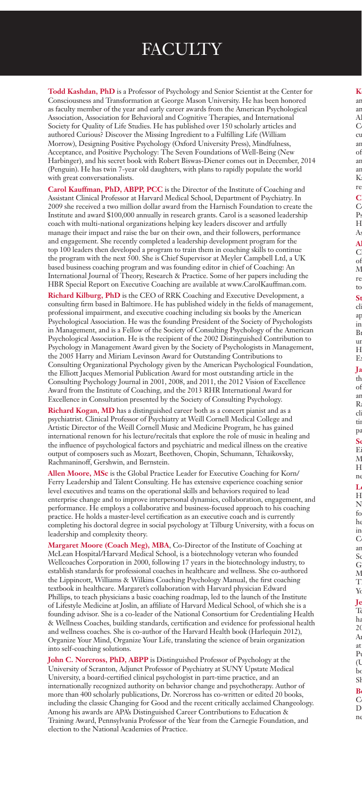# **FACULTY**

**Todd Kashdan, PhD** is a Professor of Psychology and Senior Scientist at the Center for Consciousness and Transformation at George Mason University. He has been honored as faculty member of the year and early career awards from the American Psychological Association, Association for Behavioral and Cognitive Therapies, and International Society for Quality of Life Studies. He has published over 150 scholarly articles and authored Curious? Discover the Missing Ingredient to a Fulfilling Life (William Morrow), Designing Positive Psychology (Oxford University Press), Mindfulness, Acceptance, and Positive Psychology: The Seven Foundations of Well-Being (New Harbinger), and his secret book with Robert Biswas-Diener comes out in December, 2014 (Penguin). He has twin 7-year old daughters, with plans to rapidly populate the world with great conversationalists.

**Carol Kauffman, PhD, ABPP, PCC** is the Director of the Institute of Coaching and Assistant Clinical Professor at Harvard Medical School, Department of Psychiatry. In 2009 she received a two million dollar award from the Harnisch Foundation to create the Institute and award \$100,000 annually in research grants. Carol is a seasoned leadership coach with multi-national organizations helping key leaders discover and artfully manage their impact and raise the bar on their own, and their followers, performance and engagement. She recently completed a leadership development program for the top 100 leaders then developed a program to train them in coaching skills to continue the program with the next 500. She is Chief Supervisor at Meyler Campbell Ltd, a UK based business coaching program and was founding editor in chief of Coaching: An International Journal of Theory, Research & Practice. Some of her papers including the HBR Special Report on Executive Coaching are available at www.CarolKauffman.com.

**Richard Kilburg, PhD** is the CEO of RRK Coaching and Executive Development, a consulting firm based in Baltimore. He has published widely in the fields of management, professional impairment, and executive coaching including six books by the American Psychological Association. He was the founding President of the Society of Psychologists in Management, and is a Fellow of the Society of Consulting Psychology of the American Psychological Association. He is the recipient of the 2002 Distinguished Contribution to Psychology in Management Award given by the Society of Psychologists in Management, the 2005 Harry and Miriam Levinson Award for Outstanding Contributions to Consulting Organizational Psychology given by the American Psychological Foundation, the Elliott Jacques Memorial Publication Award for most outstanding article in the Consulting Psychology Journal in 2001, 2008, and 2011, the 2012 Vision of Excellence Award from the Institute of Coaching, and the 2013 RHR International Award for Excellence in Consultation presented by the Society of Consulting Psychology.

**Richard Kogan, MD** has a distinguished career both as a concert pianist and as a psychiatrist. Clinical Professor of Psychiatry at Weill Cornell Medical College and Artistic Director of the Weill Cornell Music and Medicine Program, he has gained international renown for his lecture/recitals that explore the role of music in healing and the influence of psychological factors and psychiatric and medical illness on the creative output of composers such as Mozart, Beethoven, Chopin, Schumann, Tchaikovsky, Rachmaninoff, Gershwin, and Bernstein.

**Allen Moore, MSc** is the Global Practice Leader for Executive Coaching for Korn/ Ferry Leadership and Talent Consulting. He has extensive experience coaching senior level executives and teams on the operational skills and behaviors required to lead enterprise change and to improve interpersonal dynamics, collaboration, engagement, and performance. He employs a collaborative and business-focused approach to his coaching practice. He holds a master-level certification as an executive coach and is currently completing his doctoral degree in social psychology at Tilburg University, with a focus on leadership and complexity theory.

**Margaret Moore (Coach Meg), MBA**, Co-Director of the Institute of Coaching at McLean Hospital/Harvard Medical School, is a biotechnology veteran who founded Wellcoaches Corporation in 2000, following 17 years in the biotechnology industry, to establish standards for professional coaches in healthcare and wellness. She co-authored the Lippincott, Williams & Wilkins Coaching Psychology Manual, the first coaching textbook in healthcare. Margaret's collaboration with Harvard physician Edward Phillips, to teach physicians a basic coaching roadmap, led to the launch of the Institute of Lifestyle Medicine at Joslin, an affiliate of Harvard Medical School, of which she is a founding advisor. She is a co-leader of the National Consortium for Credentialing Health & Wellness Coaches, building standards, certification and evidence for professional health and wellness coaches. She is co-author of the Harvard Health book (Harlequin 2012), Organize Your Mind, Organize Your Life, translating the science of brain organization into self-coaching solutions.

**John C. Norcross, PhD, ABPP** is Distinguished Professor of Psychology at the University of Scranton, Adjunct Professor of Psychiatry at SUNY Upstate Medical University, a board-certified clinical psychologist in part-time practice, and an internationally recognized authority on behavior change and psychotherapy. Author of more than 400 scholarly publications, Dr. Norcross has co-written or edited 20 books, including the classic Changing for Good and the recent critically acclaimed Changeology. Among his awards are APA's Distinguished Career Contributions to Education & Training Award, Pennsylvania Professor of the Year from the Carnegie Foundation, and election to the National Academies of Practice.

 $\bf K$ ar. ar in Medicine at Duncal School since 2009 and in Medicine and in Medicine and in Medicine and in Medicine at <br>Annual School since 2009 and in Medicine at Duncal School since 2009 annual School since 2009 and in Medicine <br>  $\bf A$  $\mathbf C$ cu ambulatory training, Resident as Teacher curriculum, and professional development  $\sigma$ ambulatory didactic curriculum and has been a key participant in the redesign of ambulatory education into the current hybrid model at MGH. She worked with Dr. Carol  $\mathbf K$ re  $\mathbf c$  $\mathcal C$  $P<sub>s</sub>$  $_{\rm H}$  $A$ s Al  $\rm C$  $\sigma$  $\mathcal N$ re to  $\mathbf S$ t cli  $a$ p in  $B<sub>1</sub>$  $\mathbf{u}$  $_{\rm H}$  $E:$  ${\bf J}$ a th  $\sigma$ an  $\mathbb R$  $cl$ tin p:  $\bf S$ c E<sub>i</sub>  $\mathcal N$  $_{\rm H}$ ne  $_{\rm L}$  $_{\rm H}$  $\mathbb N$  $f_{\rm O}$ he in  $\mathcal C$ an  $S<sub>c</sub>$  $\mathcal G$  $\mathcal N$  $\boldsymbol{\mathrm{T}}$ Y  ${\bf J}$ e Te<sup>a</sup> ha  $2($ Angeles in 1971 and the University of Ca

b<sub>c</sub>  $S<sub>l</sub>$  $\mathbf B$  $\rm C$  $\mathbf D$  $n$ 

at  $P_1$  $\mathfrak{a}$